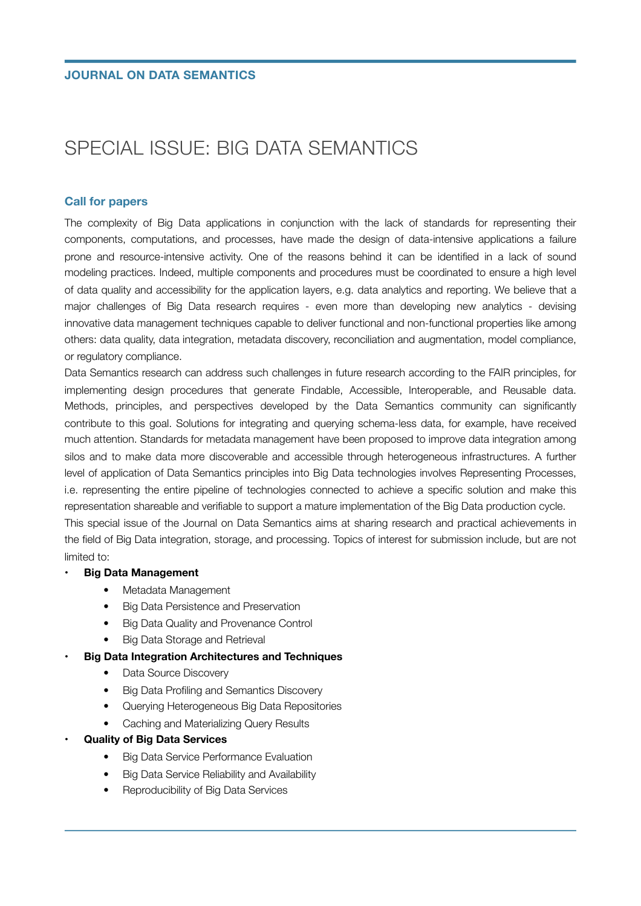# SPECIAL ISSUE: BIG DATA SEMANTICS

#### **Call for papers**

The complexity of Big Data applications in conjunction with the lack of standards for representing their components, computations, and processes, have made the design of data-intensive applications a failure prone and resource-intensive activity. One of the reasons behind it can be identified in a lack of sound modeling practices. Indeed, multiple components and procedures must be coordinated to ensure a high level of data quality and accessibility for the application layers, e.g. data analytics and reporting. We believe that a major challenges of Big Data research requires - even more than developing new analytics - devising innovative data management techniques capable to deliver functional and non-functional properties like among others: data quality, data integration, metadata discovery, reconciliation and augmentation, model compliance, or regulatory compliance.

Data Semantics research can address such challenges in future research according to the FAIR principles, for implementing design procedures that generate Findable, Accessible, Interoperable, and Reusable data. Methods, principles, and perspectives developed by the Data Semantics community can significantly contribute to this goal. Solutions for integrating and querying schema-less data, for example, have received much attention. Standards for metadata management have been proposed to improve data integration among silos and to make data more discoverable and accessible through heterogeneous infrastructures. A further level of application of Data Semantics principles into Big Data technologies involves Representing Processes, i.e. representing the entire pipeline of technologies connected to achieve a specific solution and make this representation shareable and verifiable to support a mature implementation of the Big Data production cycle.

This special issue of the Journal on Data Semantics aims at sharing research and practical achievements in the field of Big Data integration, storage, and processing. Topics of interest for submission include, but are not limited to:

## **• Big Data Management**

- Metadata Management
- Big Data Persistence and Preservation
- Big Data Quality and Provenance Control
- Big Data Storage and Retrieval

#### **• Big Data Integration Architectures and Techniques**

- Data Source Discovery
- Big Data Profiling and Semantics Discovery
- Querying Heterogeneous Big Data Repositories
- Caching and Materializing Query Results

#### **• Quality of Big Data Services**

- Big Data Service Performance Evaluation
- Big Data Service Reliability and Availability
- Reproducibility of Big Data Services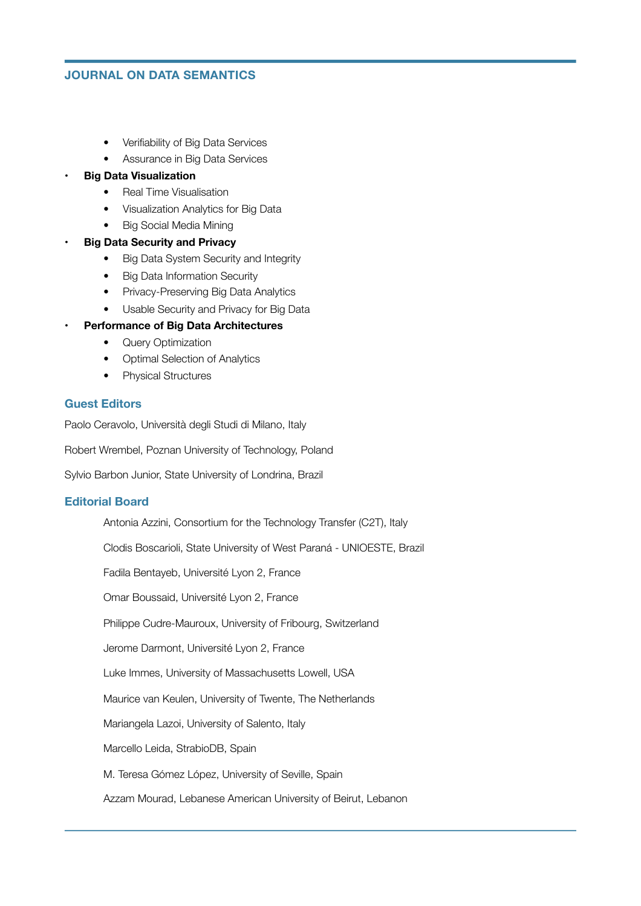# **JOURNAL ON DATA SEMANTICS**

- Verifiability of Big Data Services
- Assurance in Big Data Services

# **• Big Data Visualization**

- Real Time Visualisation
- Visualization Analytics for Big Data
- Big Social Media Mining
- **• Big Data Security and Privacy** 
	- Big Data System Security and Integrity
	- Big Data Information Security
	- Privacy-Preserving Big Data Analytics
	- Usable Security and Privacy for Big Data

## **• Performance of Big Data Architectures**

- Query Optimization
- Optimal Selection of Analytics
- Physical Structures

# **Guest Editors**

Paolo Ceravolo, Università degli Studi di Milano, Italy

Robert Wrembel, Poznan University of Technology, Poland

Sylvio Barbon Junior, State University of Londrina, Brazil

## **Editorial Board**

Antonia Azzini, Consortium for the Technology Transfer (C2T), Italy

Clodis Boscarioli, State University of West Paraná - UNIOESTE, Brazil

Fadila Bentayeb, Université Lyon 2, France

Omar Boussaid, Université Lyon 2, France

Philippe Cudre-Mauroux, University of Fribourg, Switzerland

Jerome Darmont, Université Lyon 2, France

Luke Immes, University of Massachusetts Lowell, USA

Maurice van Keulen, University of Twente, The Netherlands

Mariangela Lazoi, University of Salento, Italy

Marcello Leida, StrabioDB, Spain

M. Teresa Gómez López, University of Seville, Spain

Azzam Mourad, Lebanese American University of Beirut, Lebanon